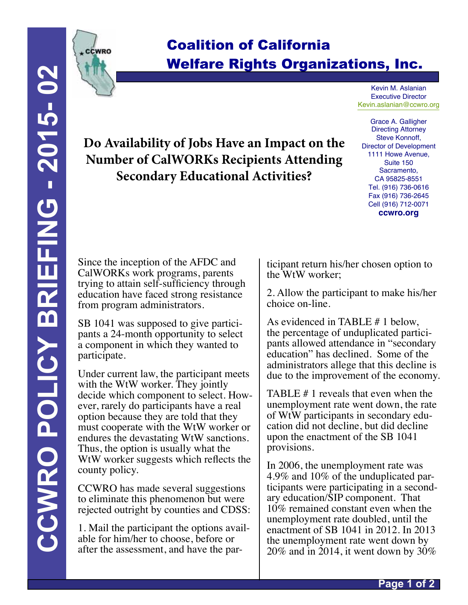

## Coalition of California Welfare Rights Organizations, Inc.

Kevin M. Aslanian Executive Director Kevin.aslanian@ccwro.org

**Do Availability of Jobs Have an Impact on the Number of CalWORKs Recipients Attending Secondary Educational Activities?**

Grace A. Galligher Directing Attorney Steve Konnoff, Director of Development 1111 Howe Avenue, Suite 150 Sacramento, CA 95825-8551 Tel. (916) 736-0616 Fax (916) 736-2645 Cell (916) 712-0071 **ccwro.org**

Since the inception of the AFDC and CalWORKs work programs, parents trying to attain self-sufficiency through education have faced strong resistance from program administrators.

SB 1041 was supposed to give partici- pants a 24-month opportunity to select a component in which they wanted to participate.

Under current law, the participant meets with the WtW worker. They jointly decide which component to select. How- ever, rarely do participants have a real option because they are told that they must cooperate with the WtW worker or endures the devastating WtW sanctions. Thus, the option is usually what the WtW worker suggests which reflects the county policy.

CCWRO has made several suggestions to eliminate this phenomenon but were rejected outright by counties and CDSS:

1. Mail the participant the options avail- able for him/her to choose, before or after the assessment, and have the participant return his/her chosen option to the WtW worker;

2. Allow the participant to make his/her choice on-line.

As evidenced in TABLE # 1 below, the percentage of unduplicated partici- pants allowed attendance in "secondary education" has declined. Some of the administrators allege that this decline is due to the improvement of the economy.

TABLE # 1 reveals that even when the unemployment rate went down, the rate of WtW participants in secondary education did not decline, but did decline upon the enactment of the SB 1041 provisions.

In 2006, the unemployment rate was 4.9% and 10% of the unduplicated par-<br>ticipants were participating in a second-<br>ary education/SIP component. That 10% remained constant even when the unemployment rate doubled, until the enactment of SB 1041 in 2012. In 2013 the unemployment rate went down by  $20\%$  and in 2014, it went down by 30%